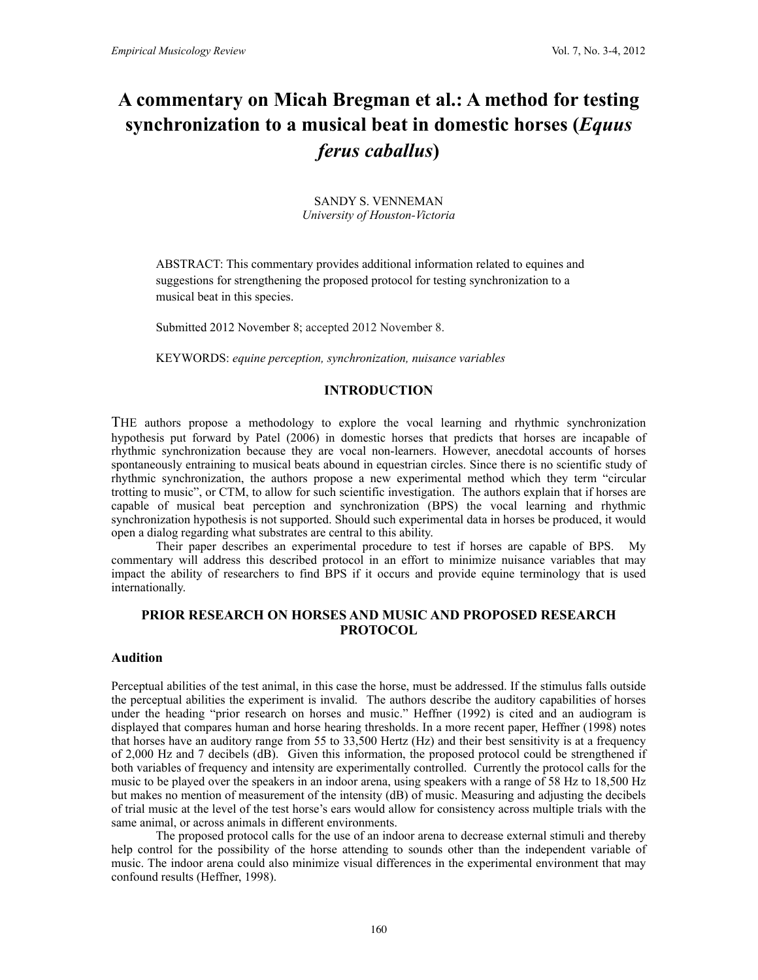# **A commentary on Micah Bregman et al.: A method for testing synchronization to a musical beat in domestic horses (***Equus ferus caballus***)**

SANDY S. VENNEMAN *University of Houston-Victoria*

ABSTRACT: This commentary provides additional information related to equines and suggestions for strengthening the proposed protocol for testing synchronization to a musical beat in this species.

Submitted 2012 November 8; accepted 2012 November 8.

KEYWORDS: *equine perception, synchronization, nuisance variables*

# **INTRODUCTION**

THE authors propose a methodology to explore the vocal learning and rhythmic synchronization hypothesis put forward by Patel (2006) in domestic horses that predicts that horses are incapable of rhythmic synchronization because they are vocal non-learners. However, anecdotal accounts of horses spontaneously entraining to musical beats abound in equestrian circles. Since there is no scientific study of rhythmic synchronization, the authors propose a new experimental method which they term "circular trotting to music", or CTM, to allow for such scientific investigation. The authors explain that if horses are capable of musical beat perception and synchronization (BPS) the vocal learning and rhythmic synchronization hypothesis is not supported. Should such experimental data in horses be produced, it would open a dialog regarding what substrates are central to this ability.

Their paper describes an experimental procedure to test if horses are capable of BPS. My commentary will address this described protocol in an effort to minimize nuisance variables that may impact the ability of researchers to find BPS if it occurs and provide equine terminology that is used internationally.

# **PRIOR RESEARCH ON HORSES AND MUSIC AND PROPOSED RESEARCH PROTOCOL**

## **Audition**

Perceptual abilities of the test animal, in this case the horse, must be addressed. If the stimulus falls outside the perceptual abilities the experiment is invalid. The authors describe the auditory capabilities of horses under the heading "prior research on horses and music." Heffner (1992) is cited and an audiogram is displayed that compares human and horse hearing thresholds. In a more recent paper, Heffner (1998) notes that horses have an auditory range from 55 to 33,500 Hertz (Hz) and their best sensitivity is at a frequency of 2,000 Hz and 7 decibels (dB). Given this information, the proposed protocol could be strengthened if both variables of frequency and intensity are experimentally controlled. Currently the protocol calls for the music to be played over the speakers in an indoor arena, using speakers with a range of 58 Hz to 18,500 Hz but makes no mention of measurement of the intensity (dB) of music. Measuring and adjusting the decibels of trial music at the level of the test horse's ears would allow for consistency across multiple trials with the same animal, or across animals in different environments.

The proposed protocol calls for the use of an indoor arena to decrease external stimuli and thereby help control for the possibility of the horse attending to sounds other than the independent variable of music. The indoor arena could also minimize visual differences in the experimental environment that may confound results (Heffner, 1998).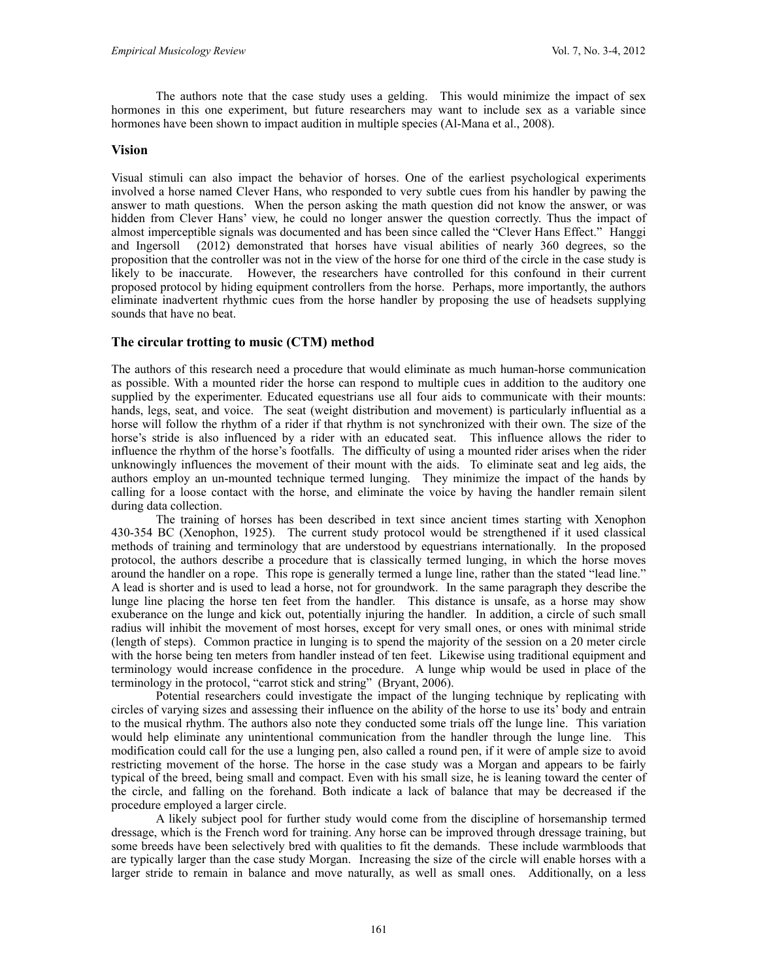The authors note that the case study uses a gelding. This would minimize the impact of sex hormones in this one experiment, but future researchers may want to include sex as a variable since hormones have been shown to impact audition in multiple species (Al-Mana et al., 2008).

#### **Vision**

Visual stimuli can also impact the behavior of horses. One of the earliest psychological experiments involved a horse named Clever Hans, who responded to very subtle cues from his handler by pawing the answer to math questions. When the person asking the math question did not know the answer, or was hidden from Clever Hans' view, he could no longer answer the question correctly. Thus the impact of almost imperceptible signals was documented and has been since called the "Clever Hans Effect." Hanggi and Ingersoll (2012) demonstrated that horses have visual abilities of nearly 360 degrees, so the proposition that the controller was not in the view of the horse for one third of the circle in the case study is likely to be inaccurate. However, the researchers have controlled for this confound in their current proposed protocol by hiding equipment controllers from the horse. Perhaps, more importantly, the authors eliminate inadvertent rhythmic cues from the horse handler by proposing the use of headsets supplying sounds that have no beat.

### **The circular trotting to music (CTM) method**

The authors of this research need a procedure that would eliminate as much human-horse communication as possible. With a mounted rider the horse can respond to multiple cues in addition to the auditory one supplied by the experimenter. Educated equestrians use all four aids to communicate with their mounts: hands, legs, seat, and voice. The seat (weight distribution and movement) is particularly influential as a horse will follow the rhythm of a rider if that rhythm is not synchronized with their own. The size of the horse's stride is also influenced by a rider with an educated seat. This influence allows the rider to influence the rhythm of the horse's footfalls. The difficulty of using a mounted rider arises when the rider unknowingly influences the movement of their mount with the aids. To eliminate seat and leg aids, the authors employ an un-mounted technique termed lunging. They minimize the impact of the hands by calling for a loose contact with the horse, and eliminate the voice by having the handler remain silent during data collection.

The training of horses has been described in text since ancient times starting with Xenophon 430-354 BC (Xenophon, 1925). The current study protocol would be strengthened if it used classical methods of training and terminology that are understood by equestrians internationally. In the proposed protocol, the authors describe a procedure that is classically termed lunging, in which the horse moves around the handler on a rope. This rope is generally termed a lunge line, rather than the stated "lead line." A lead is shorter and is used to lead a horse, not for groundwork. In the same paragraph they describe the lunge line placing the horse ten feet from the handler. This distance is unsafe, as a horse may show exuberance on the lunge and kick out, potentially injuring the handler. In addition, a circle of such small radius will inhibit the movement of most horses, except for very small ones, or ones with minimal stride (length of steps). Common practice in lunging is to spend the majority of the session on a 20 meter circle with the horse being ten meters from handler instead of ten feet. Likewise using traditional equipment and terminology would increase confidence in the procedure. A lunge whip would be used in place of the terminology in the protocol, "carrot stick and string" (Bryant, 2006).

Potential researchers could investigate the impact of the lunging technique by replicating with circles of varying sizes and assessing their influence on the ability of the horse to use its' body and entrain to the musical rhythm. The authors also note they conducted some trials off the lunge line. This variation would help eliminate any unintentional communication from the handler through the lunge line. This modification could call for the use a lunging pen, also called a round pen, if it were of ample size to avoid restricting movement of the horse. The horse in the case study was a Morgan and appears to be fairly typical of the breed, being small and compact. Even with his small size, he is leaning toward the center of the circle, and falling on the forehand. Both indicate a lack of balance that may be decreased if the procedure employed a larger circle.

A likely subject pool for further study would come from the discipline of horsemanship termed dressage, which is the French word for training. Any horse can be improved through dressage training, but some breeds have been selectively bred with qualities to fit the demands. These include warmbloods that are typically larger than the case study Morgan. Increasing the size of the circle will enable horses with a larger stride to remain in balance and move naturally, as well as small ones. Additionally, on a less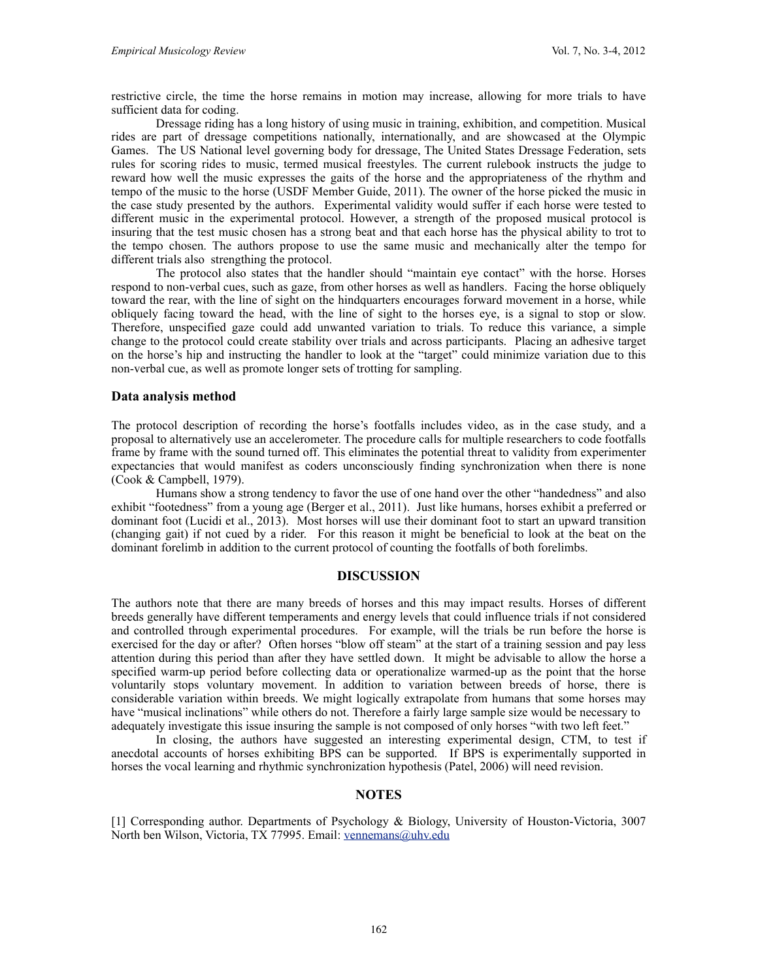restrictive circle, the time the horse remains in motion may increase, allowing for more trials to have sufficient data for coding.

Dressage riding has a long history of using music in training, exhibition, and competition. Musical rides are part of dressage competitions nationally, internationally, and are showcased at the Olympic Games. The US National level governing body for dressage, The United States Dressage Federation, sets rules for scoring rides to music, termed musical freestyles. The current rulebook instructs the judge to reward how well the music expresses the gaits of the horse and the appropriateness of the rhythm and tempo of the music to the horse (USDF Member Guide, 2011). The owner of the horse picked the music in the case study presented by the authors. Experimental validity would suffer if each horse were tested to different music in the experimental protocol. However, a strength of the proposed musical protocol is insuring that the test music chosen has a strong beat and that each horse has the physical ability to trot to the tempo chosen. The authors propose to use the same music and mechanically alter the tempo for different trials also strengthing the protocol.

The protocol also states that the handler should "maintain eye contact" with the horse. Horses respond to non-verbal cues, such as gaze, from other horses as well as handlers. Facing the horse obliquely toward the rear, with the line of sight on the hindquarters encourages forward movement in a horse, while obliquely facing toward the head, with the line of sight to the horses eye, is a signal to stop or slow. Therefore, unspecified gaze could add unwanted variation to trials. To reduce this variance, a simple change to the protocol could create stability over trials and across participants. Placing an adhesive target on the horse's hip and instructing the handler to look at the "target" could minimize variation due to this non-verbal cue, as well as promote longer sets of trotting for sampling.

#### **Data analysis method**

The protocol description of recording the horse's footfalls includes video, as in the case study, and a proposal to alternatively use an accelerometer. The procedure calls for multiple researchers to code footfalls frame by frame with the sound turned off. This eliminates the potential threat to validity from experimenter expectancies that would manifest as coders unconsciously finding synchronization when there is none (Cook & Campbell, 1979).

Humans show a strong tendency to favor the use of one hand over the other "handedness" and also exhibit "footedness" from a young age (Berger et al., 2011). Just like humans, horses exhibit a preferred or dominant foot (Lucidi et al., 2013). Most horses will use their dominant foot to start an upward transition (changing gait) if not cued by a rider. For this reason it might be beneficial to look at the beat on the dominant forelimb in addition to the current protocol of counting the footfalls of both forelimbs.

#### **DISCUSSION**

The authors note that there are many breeds of horses and this may impact results. Horses of different breeds generally have different temperaments and energy levels that could influence trials if not considered and controlled through experimental procedures. For example, will the trials be run before the horse is exercised for the day or after? Often horses "blow off steam" at the start of a training session and pay less attention during this period than after they have settled down. It might be advisable to allow the horse a specified warm-up period before collecting data or operationalize warmed-up as the point that the horse voluntarily stops voluntary movement. In addition to variation between breeds of horse, there is considerable variation within breeds. We might logically extrapolate from humans that some horses may have "musical inclinations" while others do not. Therefore a fairly large sample size would be necessary to adequately investigate this issue insuring the sample is not composed of only horses "with two left feet."

In closing, the authors have suggested an interesting experimental design, CTM, to test if anecdotal accounts of horses exhibiting BPS can be supported. If BPS is experimentally supported in horses the vocal learning and rhythmic synchronization hypothesis (Patel, 2006) will need revision.

#### **NOTES**

[1] Corresponding author. Departments of Psychology & Biology, University of Houston-Victoria, 3007 North ben Wilson, Victoria, TX 77995. Email: [vennemans@uhv.edu](mailto:vennemans@uhv.edu)